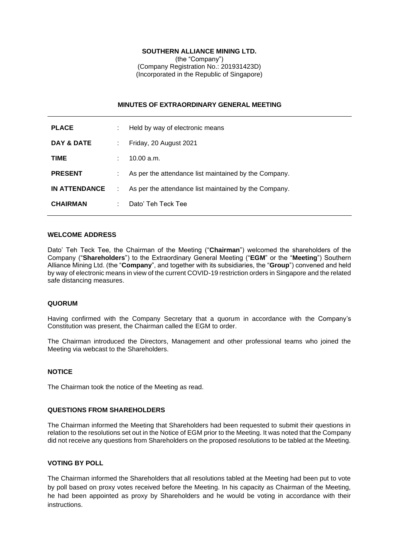## **SOUTHERN ALLIANCE MINING LTD.**

(the "Company") (Company Registration No.: 201931423D) (Incorporated in the Republic of Singapore)

### **MINUTES OF EXTRAORDINARY GENERAL MEETING**

| <b>PLACE</b>         | t. | Held by way of electronic means                       |
|----------------------|----|-------------------------------------------------------|
| DAY & DATE           | ÷. | Friday, 20 August 2021                                |
| <b>TIME</b>          |    | 10.00 a.m.                                            |
| <b>PRESENT</b>       | ÷  | As per the attendance list maintained by the Company. |
| <b>IN ATTENDANCE</b> | ÷  | As per the attendance list maintained by the Company. |
| <b>CHAIRMAN</b>      | ÷. | Dato' Teh Teck Tee                                    |

## **WELCOME ADDRESS**

Dato' Teh Teck Tee, the Chairman of the Meeting ("**Chairman**") welcomed the shareholders of the Company ("**Shareholders**") to the Extraordinary General Meeting ("**EGM**" or the "**Meeting**") Southern Alliance Mining Ltd. (the "**Company**", and together with its subsidiaries, the "**Group**") convened and held by way of electronic means in view of the current COVID-19 restriction orders in Singapore and the related safe distancing measures.

#### **QUORUM**

Having confirmed with the Company Secretary that a quorum in accordance with the Company's Constitution was present, the Chairman called the EGM to order.

The Chairman introduced the Directors, Management and other professional teams who joined the Meeting via webcast to the Shareholders.

#### **NOTICE**

The Chairman took the notice of the Meeting as read.

#### **QUESTIONS FROM SHAREHOLDERS**

The Chairman informed the Meeting that Shareholders had been requested to submit their questions in relation to the resolutions set out in the Notice of EGM prior to the Meeting. It was noted that the Company did not receive any questions from Shareholders on the proposed resolutions to be tabled at the Meeting.

## **VOTING BY POLL**

The Chairman informed the Shareholders that all resolutions tabled at the Meeting had been put to vote by poll based on proxy votes received before the Meeting. In his capacity as Chairman of the Meeting, he had been appointed as proxy by Shareholders and he would be voting in accordance with their instructions.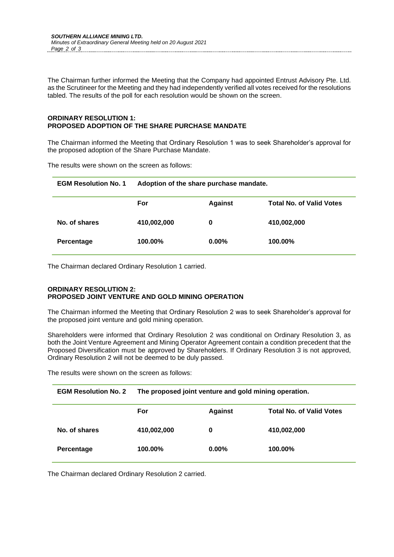The Chairman further informed the Meeting that the Company had appointed Entrust Advisory Pte. Ltd. as the Scrutineer for the Meeting and they had independently verified all votes received for the resolutions tabled. The results of the poll for each resolution would be shown on the screen.

## **ORDINARY RESOLUTION 1: PROPOSED ADOPTION OF THE SHARE PURCHASE MANDATE**

The Chairman informed the Meeting that Ordinary Resolution 1 was to seek Shareholder's approval for the proposed adoption of the Share Purchase Mandate.

The results were shown on the screen as follows:

| <b>EGM Resolution No. 1</b> | Adoption of the share purchase mandate. |                |                                 |  |
|-----------------------------|-----------------------------------------|----------------|---------------------------------|--|
|                             | For                                     | <b>Against</b> | <b>Total No. of Valid Votes</b> |  |
| No. of shares               | 410,002,000                             | 0              | 410,002,000                     |  |
| Percentage                  | 100.00%                                 | $0.00\%$       | 100.00%                         |  |

The Chairman declared Ordinary Resolution 1 carried.

## **ORDINARY RESOLUTION 2: PROPOSED JOINT VENTURE AND GOLD MINING OPERATION**

The Chairman informed the Meeting that Ordinary Resolution 2 was to seek Shareholder's approval for the proposed joint venture and gold mining operation.

Shareholders were informed that Ordinary Resolution 2 was conditional on Ordinary Resolution 3, as both the Joint Venture Agreement and Mining Operator Agreement contain a condition precedent that the Proposed Diversification must be approved by Shareholders. If Ordinary Resolution 3 is not approved, Ordinary Resolution 2 will not be deemed to be duly passed.

The results were shown on the screen as follows:

| <b>EGM Resolution No. 2</b> | The proposed joint venture and gold mining operation. |                |                                 |  |
|-----------------------------|-------------------------------------------------------|----------------|---------------------------------|--|
|                             | For                                                   | <b>Against</b> | <b>Total No. of Valid Votes</b> |  |
| No. of shares               | 410,002,000                                           | 0              | 410,002,000                     |  |
| Percentage                  | 100.00%                                               | $0.00\%$       | 100.00%                         |  |

The Chairman declared Ordinary Resolution 2 carried.